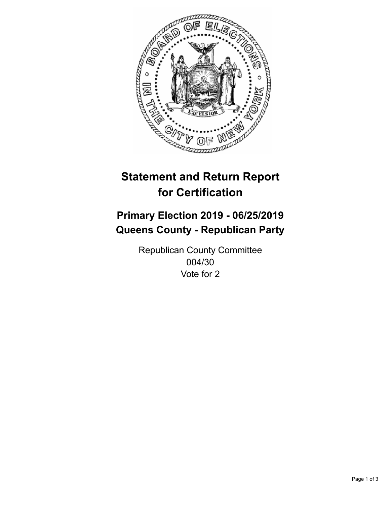

## **Statement and Return Report for Certification**

## **Primary Election 2019 - 06/25/2019 Queens County - Republican Party**

Republican County Committee 004/30 Vote for 2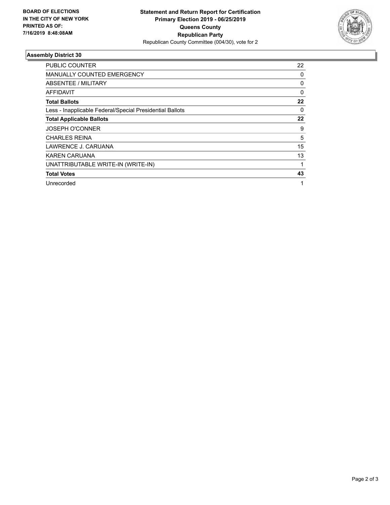

## **Assembly District 30**

| <b>PUBLIC COUNTER</b>                                    | 22 |
|----------------------------------------------------------|----|
| MANUALLY COUNTED EMERGENCY                               | 0  |
| ABSENTEE / MILITARY                                      | 0  |
| AFFIDAVIT                                                | 0  |
| <b>Total Ballots</b>                                     | 22 |
| Less - Inapplicable Federal/Special Presidential Ballots | 0  |
| <b>Total Applicable Ballots</b>                          | 22 |
| <b>JOSEPH O'CONNER</b>                                   | 9  |
| <b>CHARLES REINA</b>                                     | 5  |
| LAWRENCE J. CARUANA                                      | 15 |
| <b>KAREN CARUANA</b>                                     | 13 |
| UNATTRIBUTABLE WRITE-IN (WRITE-IN)                       |    |
| <b>Total Votes</b>                                       | 43 |
| Unrecorded                                               | 1  |